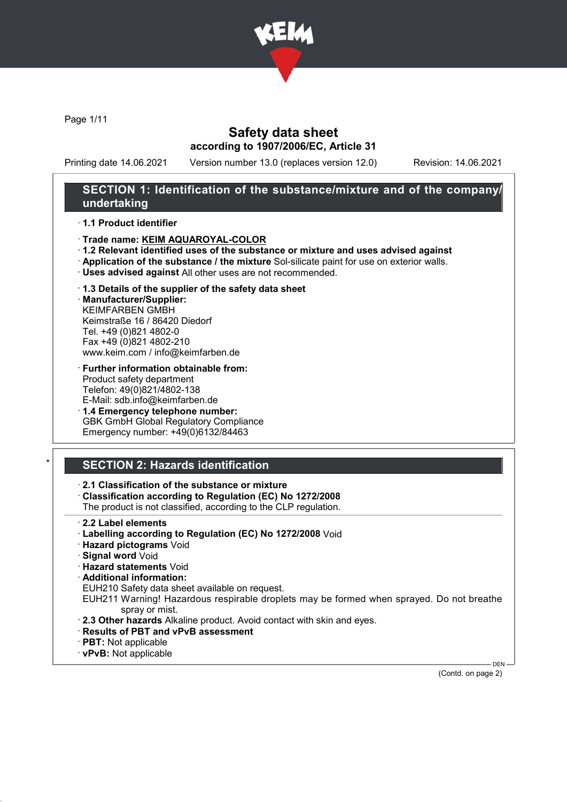

Page 1/11

## Safety data sheet according to 1907/2006/EC, Article 31

Printing date 14.06.2021 Version number 13.0 (replaces version 12.0) Revision: 14.06.2021

## SECTION 1: Identification of the substance/mixture and of the company/ undertaking

#### · 1.1 Product identifier

- · Trade name: KEIM AQUAROYAL-COLOR
- · 1.2 Relevant identified uses of the substance or mixture and uses advised against
- · Application of the substance / the mixture Sol-silicate paint for use on exterior walls.
- · Uses advised against All other uses are not recommended.
- · 1.3 Details of the supplier of the safety data sheet

· Manufacturer/Supplier: KEIMFARBEN GMBH Keimstraße 16 / 86420 Diedorf Tel. +49 (0)821 4802-0 Fax +49 (0)821 4802-210 www.keim.com / info@keimfarben.de

- · Further information obtainable from: Product safety department Telefon: 49(0)821/4802-138 E-Mail: sdb.info@keimfarben.de
- · 1.4 Emergency telephone number: GBK GmbH Global Regulatory Compliance Emergency number: +49(0)6132/84463

# **SECTION 2: Hazards identification**

### · 2.1 Classification of the substance or mixture

· Classification according to Regulation (EC) No 1272/2008

The product is not classified, according to the CLP regulation.

- · 2.2 Label elements
- · Labelling according to Regulation (EC) No 1272/2008 Void
- · Hazard pictograms Void
- · Signal word Void
- · Hazard statements Void
- · Additional information:
- EUH210 Safety data sheet available on request.

EUH211 Warning! Hazardous respirable droplets may be formed when sprayed. Do not breathe spray or mist.

- · 2.3 Other hazards Alkaline product. Avoid contact with skin and eyes.
- · Results of PBT and vPvB assessment
- · PBT: Not applicable
- · vPvB: Not applicable

DEN (Contd. on page 2)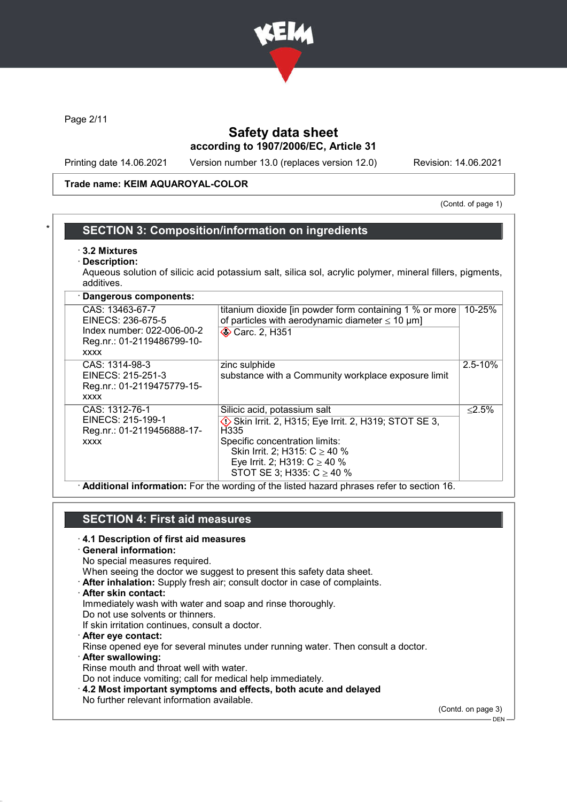

Page 2/11

## Safety data sheet according to 1907/2006/EC, Article 31

Printing date 14.06.2021 Version number 13.0 (replaces version 12.0) Revision: 14.06.2021

### Trade name: KEIM AQUAROYAL-COLOR

(Contd. of page 1)

### **SECTION 3: Composition/information on ingredients**

- · 3.2 Mixtures
- Description:

Aqueous solution of silicic acid potassium salt, silica sol, acrylic polymer, mineral fillers, pigments, additives.

| · Dangerous components:                                                                                         |                                                                                                                                                                                                                                                          |           |
|-----------------------------------------------------------------------------------------------------------------|----------------------------------------------------------------------------------------------------------------------------------------------------------------------------------------------------------------------------------------------------------|-----------|
| CAS: 13463-67-7<br>EINECS: 236-675-5<br>Index number: 022-006-00-2<br>Reg.nr.: 01-2119486799-10-<br><b>XXXX</b> | titanium dioxide [in powder form containing 1 % or more<br>of particles with aerodynamic diameter $\leq 10 \mu m$ ]<br><b>◆ Carc. 2, H351</b>                                                                                                            | 10-25%    |
| CAS: 1314-98-3<br>EINECS: 215-251-3<br>Reg.nr.: 01-2119475779-15-<br><b>XXXX</b>                                | zinc sulphide<br>substance with a Community workplace exposure limit                                                                                                                                                                                     | 2.5-10%   |
| CAS: 1312-76-1<br>EINECS: 215-199-1<br>Reg.nr.: 01-2119456888-17-<br><b>XXXX</b>                                | Silicic acid, potassium salt<br>$\Diamond$ Skin Irrit. 2, H315; Eye Irrit. 2, H319; STOT SE 3,<br>H335<br>Specific concentration limits:<br>Skin Irrit. 2; H315: $C \ge 40 \%$<br>Eye Irrit. 2; H319: $C \ge 40$ %<br>STOT SE 3; H335: $C \ge 40$ %<br>. | $< 2.5\%$ |

· Additional information: For the wording of the listed hazard phrases refer to section 16.

## SECTION 4: First aid measures

#### · 4.1 Description of first aid measures

· General information:

No special measures required.

When seeing the doctor we suggest to present this safety data sheet.

· After inhalation: Supply fresh air; consult doctor in case of complaints.

· After skin contact:

Immediately wash with water and soap and rinse thoroughly.

Do not use solvents or thinners.

If skin irritation continues, consult a doctor.

· After eye contact:

Rinse opened eye for several minutes under running water. Then consult a doctor.

· After swallowing:

Rinse mouth and throat well with water. Do not induce vomiting; call for medical help immediately.

· 4.2 Most important symptoms and effects, both acute and delayed

No further relevant information available.

(Contd. on page 3)

DEN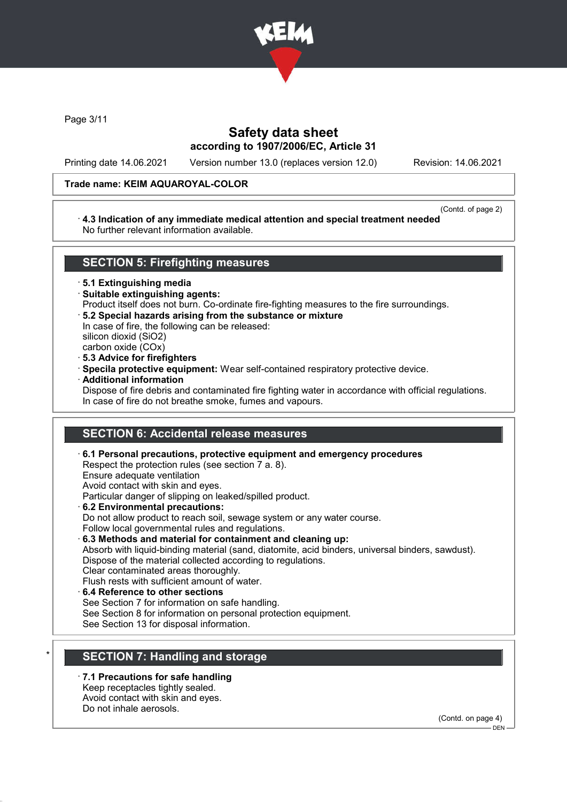

Page 3/11

## Safety data sheet according to 1907/2006/EC, Article 31

Printing date 14.06.2021 Version number 13.0 (replaces version 12.0) Revision: 14.06.2021

### Trade name: KEIM AQUAROYAL-COLOR

#### (Contd. of page 2)

### · 4.3 Indication of any immediate medical attention and special treatment needed No further relevant information available.

## SECTION 5: Firefighting measures

· 5.1 Extinguishing media

- · Suitable extinguishing agents:
- Product itself does not burn. Co-ordinate fire-fighting measures to the fire surroundings.
- · 5.2 Special hazards arising from the substance or mixture
- In case of fire, the following can be released: silicon dioxid (SiO2)

carbon oxide (COx)

- · 5.3 Advice for firefighters
- · Specila protective equipment: Wear self-contained respiratory protective device.
- · Additional information

Dispose of fire debris and contaminated fire fighting water in accordance with official regulations. In case of fire do not breathe smoke, fumes and vapours.

## SECTION 6: Accidental release measures

- · 6.1 Personal precautions, protective equipment and emergency procedures Respect the protection rules (see section 7 a. 8). Ensure adequate ventilation Avoid contact with skin and eyes. Particular danger of slipping on leaked/spilled product. · 6.2 Environmental precautions: Do not allow product to reach soil, sewage system or any water course. Follow local governmental rules and regulations. · 6.3 Methods and material for containment and cleaning up: Absorb with liquid-binding material (sand, diatomite, acid binders, universal binders, sawdust). Dispose of the material collected according to regulations. Clear contaminated areas thoroughly. Flush rests with sufficient amount of water.
- 6.4 Reference to other sections See Section 7 for information on safe handling. See Section 8 for information on personal protection equipment. See Section 13 for disposal information.

# **SECTION 7: Handling and storage**

7.1 Precautions for safe handling

Keep receptacles tightly sealed. Avoid contact with skin and eyes.

Do not inhale aerosols.

(Contd. on page 4)

 $-$  DEN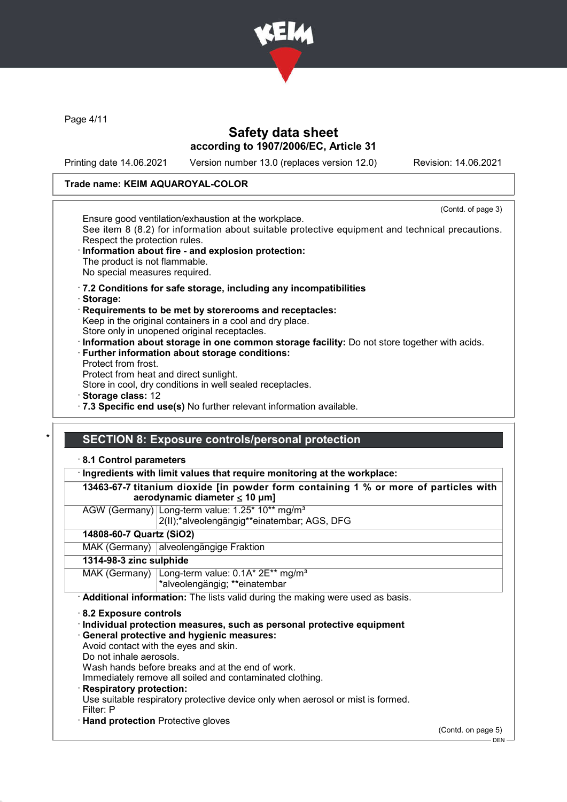

Page 4/11

## Safety data sheet according to 1907/2006/EC, Article 31

Printing date 14.06.2021 Version number 13.0 (replaces version 12.0) Revision: 14.06.2021

### Trade name: KEIM AQUAROYAL-COLOR

(Contd. of page 3) Ensure good ventilation/exhaustion at the workplace. See item 8 (8.2) for information about suitable protective equipment and technical precautions. Respect the protection rules. Information about fire - and explosion protection: The product is not flammable. No special measures required. · 7.2 Conditions for safe storage, including any incompatibilities · Storage: · Requirements to be met by storerooms and receptacles: Keep in the original containers in a cool and dry place. Store only in unopened original receptacles. · Information about storage in one common storage facility: Do not store together with acids. · Further information about storage conditions: Protect from frost. Protect from heat and direct sunlight. Store in cool, dry conditions in well sealed receptacles. · Storage class: 12 · 7.3 Specific end use(s) No further relevant information available.

## SECTION 8: Exposure controls/personal protection

### · 8.1 Control parameters

· Ingredients with limit values that require monitoring at the workplace:

| 13463-67-7 titanium dioxide [in powder form containing 1 % or more of particles with |
|--------------------------------------------------------------------------------------|
| aerodynamic diameter $\leq 10 \mu m$ ]                                               |

AGW (Germany) Long-term value: 1.25\* 10\*\* mg/m<sup>3</sup> 2(II);\*alveolengängig\*\*einatembar; AGS, DFG

## 14808-60-7 Quartz (SiO2)

MAK (Germany) alveolengängige Fraktion

### 1314-98-3 zinc sulphide

MAK (Germany) Long-term value: 0.1A\* 2E\*\* mg/m<sup>3</sup> \*alveolengängig; \*\*einatembar

· Additional information: The lists valid during the making were used as basis.

#### · 8.2 Exposure controls

· Individual protection measures, such as personal protective equipment

### · General protective and hygienic measures:

- Avoid contact with the eyes and skin.
- Do not inhale aerosols.

Wash hands before breaks and at the end of work.

Immediately remove all soiled and contaminated clothing.

### **Respiratory protection:**

Use suitable respiratory protective device only when aerosol or mist is formed. Filter: P

· Hand protection Protective gloves

(Contd. on page 5)

 $-$  DEN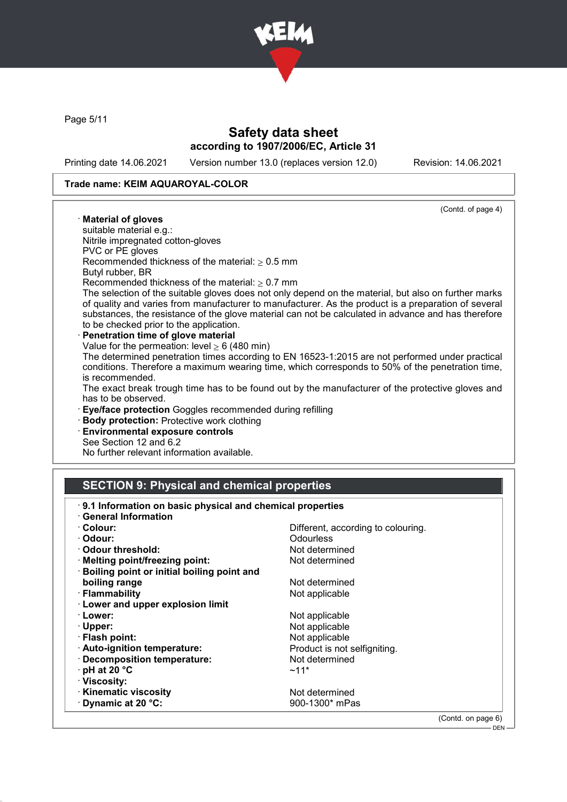

Page 5/11

## Safety data sheet according to 1907/2006/EC, Article 31

Printing date 14.06.2021 Version number 13.0 (replaces version 12.0) Revision: 14.06.2021

### Trade name: KEIM AQUAROYAL-COLOR

· Material of gloves

(Contd. of page 4)

DEN

suitable material e.g.: Nitrile impregnated cotton-gloves PVC or PE gloves Recommended thickness of the material:  $> 0.5$  mm Butyl rubber, BR Recommended thickness of the material:  $\geq 0.7$  mm The selection of the suitable gloves does not only depend on the material, but also on further marks of quality and varies from manufacturer to manufacturer. As the product is a preparation of several substances, the resistance of the glove material can not be calculated in advance and has therefore to be checked prior to the application. Penetration time of glove material Value for the permeation: level  $\geq 6$  (480 min) The determined penetration times according to EN 16523-1:2015 are not performed under practical conditions. Therefore a maximum wearing time, which corresponds to 50% of the penetration time, is recommended. The exact break trough time has to be found out by the manufacturer of the protective gloves and has to be observed. · Eye/face protection Goggles recommended during refilling · Body protection: Protective work clothing Environmental exposure controls See Section 12 and 6.2

No further relevant information available.

# SECTION 9: Physical and chemical properties

| · Colour:                                         | Different, according to colouring. |  |
|---------------------------------------------------|------------------------------------|--|
| · Odour:                                          | <b>Odourless</b>                   |  |
| ⋅ Odour threshold:                                | Not determined                     |  |
| · Melting point/freezing point:                   | Not determined                     |  |
| <b>Boiling point or initial boiling point and</b> |                                    |  |
| boiling range                                     | Not determined                     |  |
| · Flammability                                    | Not applicable                     |  |
| <b>Lower and upper explosion limit</b>            |                                    |  |
| · Lower:                                          | Not applicable                     |  |
| · Upper:                                          | Not applicable                     |  |
| · Flash point:                                    | Not applicable                     |  |
| · Auto-ignition temperature:                      | Product is not selfigniting.       |  |
| · Decomposition temperature:                      | Not determined                     |  |
| $\cdot$ pH at 20 °C                               | $~11*$                             |  |
| · Viscosity:                                      |                                    |  |
| <b>Kinematic viscosity</b>                        | Not determined                     |  |
| Dynamic at 20 °C:                                 | 900-1300* mPas                     |  |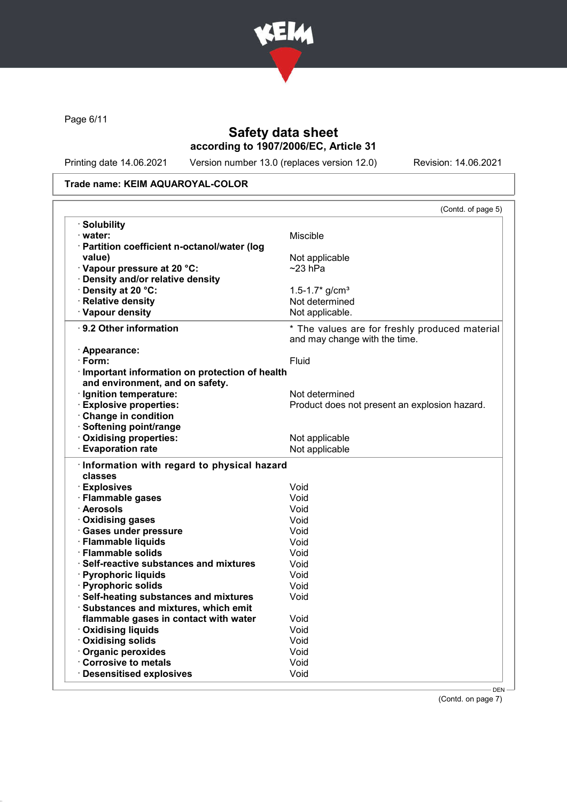

Page 6/11

# Safety data sheet according to 1907/2006/EC, Article 31

Printing date 14.06.2021 Version number 13.0 (replaces version 12.0) Revision: 14.06.2021

### Trade name: KEIM AQUAROYAL-COLOR

| · Solubility                                    |                                                   |
|-------------------------------------------------|---------------------------------------------------|
| · water:                                        | <b>Miscible</b>                                   |
| · Partition coefficient n-octanol/water (log    |                                                   |
| value)                                          | Not applicable                                    |
| · Vapour pressure at 20 °C:                     | $\sim$ 23 hPa                                     |
| · Density and/or relative density               |                                                   |
| Density at 20 °C:                               |                                                   |
| · Relative density                              | $1.5 - 1.7$ * g/cm <sup>3</sup><br>Not determined |
| · Vapour density                                | Not applicable.                                   |
|                                                 |                                                   |
| · 9.2 Other information                         | * The values are for freshly produced material    |
|                                                 | and may change with the time.                     |
| · Appearance:                                   |                                                   |
| $\cdot$ Form:                                   | Fluid                                             |
| · Important information on protection of health |                                                   |
| and environment, and on safety.                 |                                                   |
| · Ignition temperature:                         | Not determined                                    |
| · Explosive properties:                         | Product does not present an explosion hazard.     |
| Change in condition                             |                                                   |
| · Softening point/range                         |                                                   |
| Oxidising properties:                           | Not applicable                                    |
| · Evaporation rate                              | Not applicable                                    |
| · Information with regard to physical hazard    |                                                   |
| classes                                         |                                                   |
| · Explosives                                    | Void                                              |
| · Flammable gases                               | Void                                              |
| · Aerosols                                      | Void                                              |
| · Oxidising gases                               | Void                                              |
| · Gases under pressure                          | Void                                              |
| · Flammable liquids                             | Void                                              |
| · Flammable solids                              | Void                                              |
|                                                 | Void                                              |
| · Self-reactive substances and mixtures         |                                                   |
| · Pyrophoric liquids                            | Void                                              |
| · Pyrophoric solids                             | Void                                              |
| · Self-heating substances and mixtures          | Void                                              |
| · Substances and mixtures, which emit           |                                                   |
| flammable gases in contact with water           | Void                                              |
| · Oxidising liquids                             | Void                                              |
| · Oxidising solids                              | Void                                              |
| · Organic peroxides                             | Void                                              |
| Corrosive to metals                             | Void                                              |
| · Desensitised explosives                       | Void                                              |

(Contd. on page 7)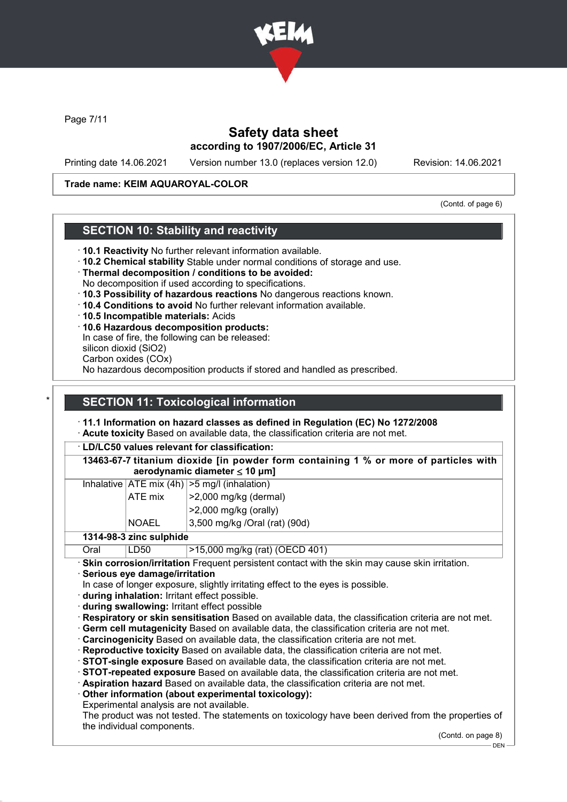

Page 7/11

## Safety data sheet according to 1907/2006/EC, Article 31

Printing date 14.06.2021 Version number 13.0 (replaces version 12.0) Revision: 14.06.2021

### Trade name: KEIM AQUAROYAL-COLOR

(Contd. of page 6)

## SECTION 10: Stability and reactivity

- · 10.1 Reactivity No further relevant information available.
- · 10.2 Chemical stability Stable under normal conditions of storage and use.
- · Thermal decomposition / conditions to be avoided:
- No decomposition if used according to specifications.
- · 10.3 Possibility of hazardous reactions No dangerous reactions known.
- · 10.4 Conditions to avoid No further relevant information available.
- · 10.5 Incompatible materials: Acids
- · 10.6 Hazardous decomposition products:
- In case of fire, the following can be released:
- silicon dioxid (SiO2)
- Carbon oxides (COx)

No hazardous decomposition products if stored and handled as prescribed.

## **SECTION 11: Toxicological information**

### · 11.1 Information on hazard classes as defined in Regulation (EC) No 1272/2008

Acute toxicity Based on available data, the classification criteria are not met.

|  |  | · LD/LC50 values relevant for classification: |
|--|--|-----------------------------------------------|
|--|--|-----------------------------------------------|

13463-67-7 titanium dioxide [in powder form containing 1 % or more of particles with aerodynamic diameter ≤ 10 μm]

|  |         | Inhalative $ ATE \text{ mix } (4h)   > 5 \text{ mg/l } (inhalation)$ |
|--|---------|----------------------------------------------------------------------|
|  | ATE mix | $ >2,000$ mg/kg (dermal)                                             |
|  |         | $ >2,000$ mg/kg (orally)                                             |
|  | NOAEL   | 3,500 mg/kg /Oral (rat) (90d)                                        |

## 1314-98-3 zinc sulphide

Oral LD50 >15,000 mg/kg (rat) (OECD 401)

· Skin corrosion/irritation Frequent persistent contact with the skin may cause skin irritation.

· Serious eye damage/irritation

In case of longer exposure, slightly irritating effect to the eyes is possible.

· during inhalation: Irritant effect possible.

· during swallowing: Irritant effect possible

· Respiratory or skin sensitisation Based on available data, the classification criteria are not met.

- · Germ cell mutagenicity Based on available data, the classification criteria are not met.
- · Carcinogenicity Based on available data, the classification criteria are not met.

· Reproductive toxicity Based on available data, the classification criteria are not met.

· STOT-single exposure Based on available data, the classification criteria are not met.

· STOT-repeated exposure Based on available data, the classification criteria are not met.

· Aspiration hazard Based on available data, the classification criteria are not met.

· Other information (about experimental toxicology):

Experimental analysis are not available.

The product was not tested. The statements on toxicology have been derived from the properties of the individual components.

(Contd. on page 8)

DEN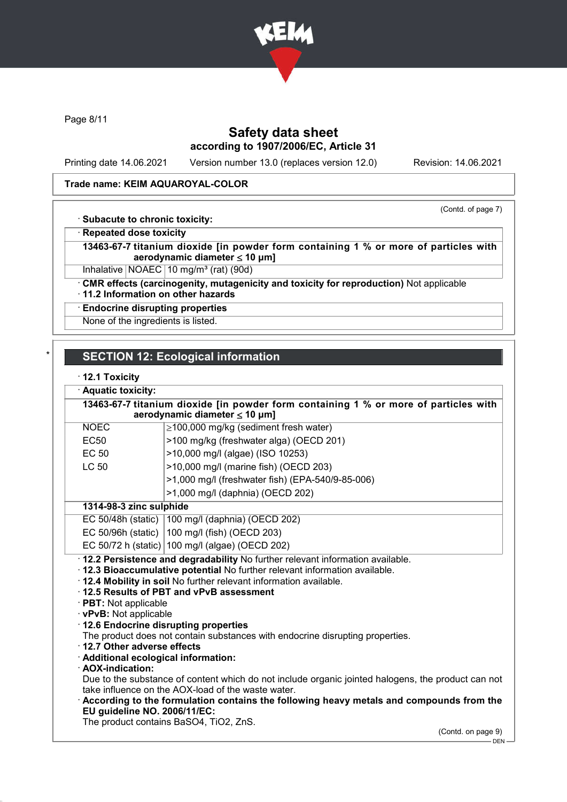

Page 8/11

## Safety data sheet according to 1907/2006/EC, Article 31

Printing date 14.06.2021 Version number 13.0 (replaces version 12.0) Revision: 14.06.2021

### Trade name: KEIM AQUAROYAL-COLOR

(Contd. of page 7)

· Subacute to chronic toxicity:

**Repeated dose toxicity** 

13463-67-7 titanium dioxide [in powder form containing 1 % or more of particles with aerodynamic diameter ≤ 10 μm]

Inhalative | NOAEC | 10 mg/m<sup>3</sup> (rat) (90d)

· CMR effects (carcinogenity, mutagenicity and toxicity for reproduction) Not applicable

· 11.2 Information on other hazards

**Endocrine disrupting properties** 

None of the ingredients is listed.

## **SECTION 12: Ecological information**

### · 12.1 Toxicity

Aquatic toxicity:

| 13463-67-7 titanium dioxide [in powder form containing 1 % or more of particles with |  |
|--------------------------------------------------------------------------------------|--|
| aerodynamic diameter $\leq$ 10 µm]                                                   |  |

| <b>NOEC</b>                                                                                                                                              | $\geq$ 100,000 mg/kg (sediment fresh water)              |  |  |
|----------------------------------------------------------------------------------------------------------------------------------------------------------|----------------------------------------------------------|--|--|
| <b>EC50</b>                                                                                                                                              | >100 mg/kg (freshwater alga) (OECD 201)                  |  |  |
| <b>EC 50</b>                                                                                                                                             | >10,000 mg/l (algae) (ISO 10253)                         |  |  |
| <b>LC 50</b>                                                                                                                                             | >10,000 mg/l (marine fish) (OECD 203)                    |  |  |
|                                                                                                                                                          | >1,000 mg/l (freshwater fish) (EPA-540/9-85-006)         |  |  |
|                                                                                                                                                          | >1,000 mg/l (daphnia) (OECD 202)                         |  |  |
| 1314-98-3 zinc sulphide                                                                                                                                  |                                                          |  |  |
|                                                                                                                                                          | EC 50/48h (static)   100 mg/l (daphnia) (OECD 202)       |  |  |
|                                                                                                                                                          | EC 50/96h (static) $ 100 \text{ mg/l}$ (fish) (OECD 203) |  |  |
|                                                                                                                                                          | EC 50/72 h (static)   100 mg/l (algae) (OECD 202)        |  |  |
| · 12.2 Persistence and degradability No further relevant information available.                                                                          |                                                          |  |  |
| · 12.3 Bioaccumulative potential No further relevant information available.                                                                              |                                                          |  |  |
| · 12.4 Mobility in soil No further relevant information available.                                                                                       |                                                          |  |  |
|                                                                                                                                                          | 12.5 Results of PBT and vPvB assessment                  |  |  |
| $\cdot$ PBT: Not applicable                                                                                                                              |                                                          |  |  |
| · vPvB: Not applicable                                                                                                                                   |                                                          |  |  |
|                                                                                                                                                          | 12.6 Endocrine disrupting properties                     |  |  |
| The product does not contain substances with endocrine disrupting properties.                                                                            |                                                          |  |  |
| 12.7 Other adverse effects                                                                                                                               |                                                          |  |  |
| · Additional ecological information:                                                                                                                     |                                                          |  |  |
| · AOX-indication:                                                                                                                                        |                                                          |  |  |
| Due to the substance of content which do not include organic jointed halogens, the product can not<br>take influence on the AOX-load of the waste water. |                                                          |  |  |
| $\cdot$ According to the formulation contains the following heavy metals and compounds from the                                                          |                                                          |  |  |

EU guideline NO. 2006/11/EC: The product contains BaSO4, TiO2, ZnS.

(Contd. on page 9)

DEN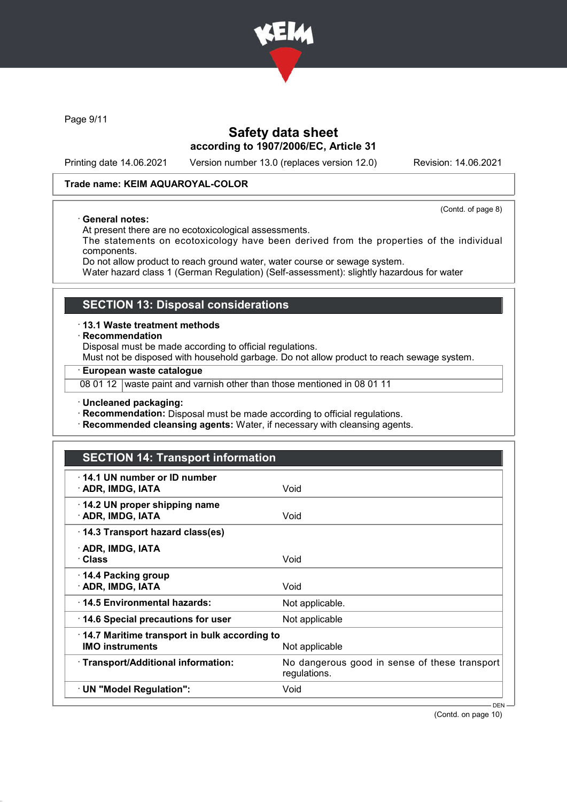

Page 9/11

## Safety data sheet according to 1907/2006/EC, Article 31

Printing date 14.06.2021 Version number 13.0 (replaces version 12.0) Revision: 14.06.2021

### Trade name: KEIM AQUAROYAL-COLOR

(Contd. of page 8)

### · General notes:

At present there are no ecotoxicological assessments.

The statements on ecotoxicology have been derived from the properties of the individual components.

Do not allow product to reach ground water, water course or sewage system.

Water hazard class 1 (German Regulation) (Self-assessment): slightly hazardous for water

### SECTION 13: Disposal considerations

· 13.1 Waste treatment methods

· Recommendation

Disposal must be made according to official regulations.

Must not be disposed with household garbage. Do not allow product to reach sewage system.

· European waste catalogue

08 01 12 waste paint and varnish other than those mentioned in 08 01 11

· Uncleaned packaging:

· Recommendation: Disposal must be made according to official regulations.

· Recommended cleansing agents: Water, if necessary with cleansing agents.

## SECTION 14: Transport information

| 14.1 UN number or ID number<br>· ADR, IMDG, IATA                                         | Void                                                          |  |
|------------------------------------------------------------------------------------------|---------------------------------------------------------------|--|
| 14.2 UN proper shipping name<br>· ADR, IMDG, IATA                                        | Void                                                          |  |
| 14.3 Transport hazard class(es)                                                          |                                                               |  |
| · ADR, IMDG, IATA<br>∴Class                                                              | Void                                                          |  |
| 14.4 Packing group<br>· ADR, IMDG, IATA                                                  | Void                                                          |  |
| 14.5 Environmental hazards:                                                              | Not applicable.                                               |  |
| $\cdot$ 14.6 Special precautions for user                                                | Not applicable                                                |  |
| 14.7 Maritime transport in bulk according to<br><b>IMO instruments</b><br>Not applicable |                                                               |  |
| · Transport/Additional information:                                                      | No dangerous good in sense of these transport<br>regulations. |  |
| · UN "Model Regulation":                                                                 | Void                                                          |  |
|                                                                                          | $DEN -$                                                       |  |

(Contd. on page 10)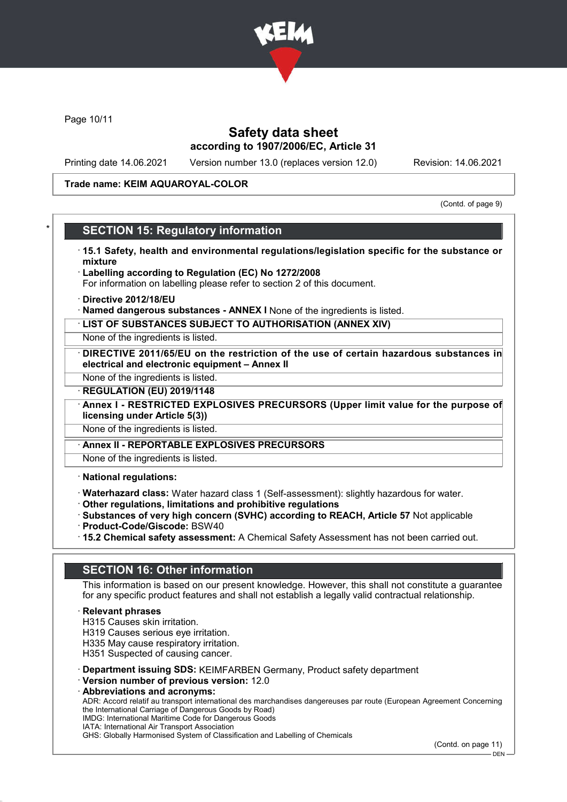

Page 10/11

## Safety data sheet according to 1907/2006/EC, Article 31

Printing date 14.06.2021 Version number 13.0 (replaces version 12.0) Revision: 14.06.2021

### Trade name: KEIM AQUAROYAL-COLOR

(Contd. of page 9)

## **SECTION 15: Regulatory information**

- · 15.1 Safety, health and environmental regulations/legislation specific for the substance or mixture
- Labelling according to Regulation (EC) No 1272/2008
- For information on labelling please refer to section 2 of this document.
- · Directive 2012/18/EU
- · Named dangerous substances ANNEX I None of the ingredients is listed.
- · LIST OF SUBSTANCES SUBJECT TO AUTHORISATION (ANNEX XIV)

None of the ingredients is listed.

DIRECTIVE 2011/65/EU on the restriction of the use of certain hazardous substances in electrical and electronic equipment – Annex II

None of the ingredients is listed.

- **REGULATION (EU) 2019/1148**
- · Annex I RESTRICTED EXPLOSIVES PRECURSORS (Upper limit value for the purpose of licensing under Article 5(3))
- None of the ingredients is listed.
- Annex II REPORTABLE EXPLOSIVES PRECURSORS

None of the ingredients is listed.

· National regulations:

- · Waterhazard class: Water hazard class 1 (Self-assessment): slightly hazardous for water.
- · Other regulations, limitations and prohibitive regulations
- · Substances of very high concern (SVHC) according to REACH, Article 57 Not applicable
- · Product-Code/Giscode: BSW40
- · 15.2 Chemical safety assessment: A Chemical Safety Assessment has not been carried out.

# SECTION 16: Other information

This information is based on our present knowledge. However, this shall not constitute a guarantee for any specific product features and shall not establish a legally valid contractual relationship.

#### **Relevant phrases**

H315 Causes skin irritation.

H319 Causes serious eye irritation.

H335 May cause respiratory irritation.

H351 Suspected of causing cancer.

· Department issuing SDS: KEIMFARBEN Germany, Product safety department

- · Version number of previous version: 12.0
- · Abbreviations and acronyms:

ADR: Accord relatif au transport international des marchandises dangereuses par route (European Agreement Concerning the International Carriage of Dangerous Goods by Road)

IMDG: International Maritime Code for Dangerous Goods IATA: International Air Transport Association

GHS: Globally Harmonised System of Classification and Labelling of Chemicals

(Contd. on page 11)